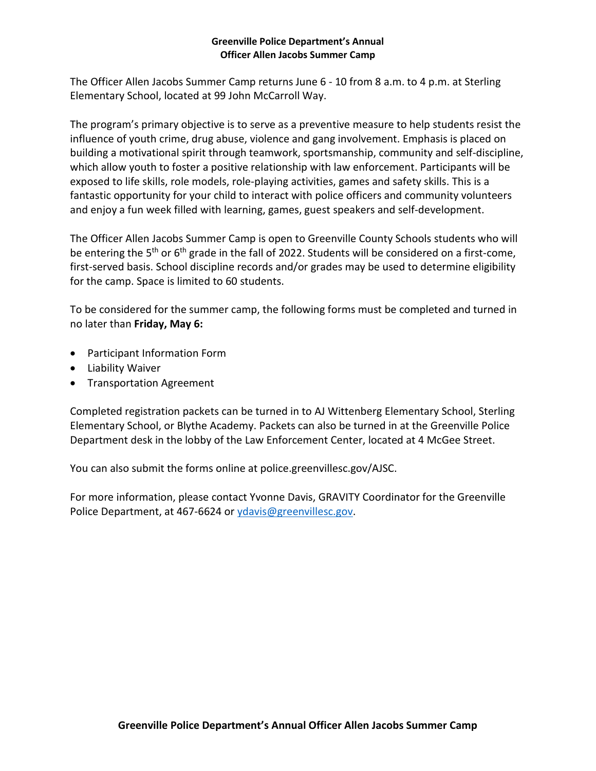#### **Greenville Police Department's Annual Officer Allen Jacobs Summer Camp**

The Officer Allen Jacobs Summer Camp returns June 6 - 10 from 8 a.m. to 4 p.m. at Sterling Elementary School, located at 99 John McCarroll Way.

The program's primary objective is to serve as a preventive measure to help students resist the influence of youth crime, drug abuse, violence and gang involvement. Emphasis is placed on building a motivational spirit through teamwork, sportsmanship, community and self-discipline, which allow youth to foster a positive relationship with law enforcement. Participants will be exposed to life skills, role models, role-playing activities, games and safety skills. This is a fantastic opportunity for your child to interact with police officers and community volunteers and enjoy a fun week filled with learning, games, guest speakers and self-development.

The Officer Allen Jacobs Summer Camp is open to Greenville County Schools students who will be entering the 5<sup>th</sup> or 6<sup>th</sup> grade in the fall of 2022. Students will be considered on a first-come, first-served basis. School discipline records and/or grades may be used to determine eligibility for the camp. Space is limited to 60 students.

To be considered for the summer camp, the following forms must be completed and turned in no later than **Friday, May 6:**

- Participant Information Form
- Liability Waiver
- Transportation Agreement

Completed registration packets can be turned in to AJ Wittenberg Elementary School, Sterling Elementary School, or Blythe Academy. Packets can also be turned in at the Greenville Police Department desk in the lobby of the Law Enforcement Center, located at 4 McGee Street.

You can also submit the forms online at police.greenvillesc.gov/AJSC.

For more information, please contact Yvonne Davis, GRAVITY Coordinator for the Greenville Police Department, at 467-6624 o[r ydavis@greenvillesc.gov.](mailto:ydavis@greenvillesc.gov)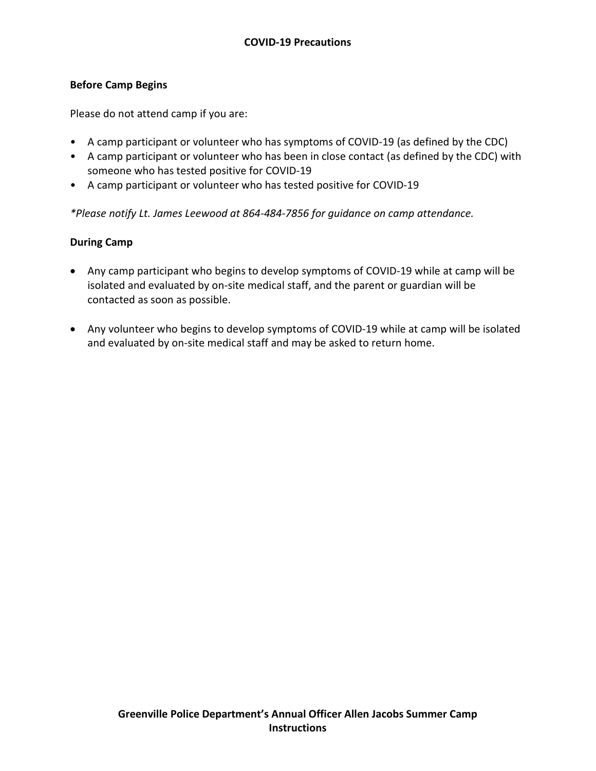# **Before Camp Begins**

Please do not attend camp if you are:

- A camp participant or volunteer who has symptoms of COVID-19 (as defined by the CDC)
- A camp participant or volunteer who has been in close contact (as defined by the CDC) with someone who has tested positive for COVID-19
- A camp participant or volunteer who has tested positive for COVID-19

*\*Please notify Lt. James Leewood at 864-484-7856 for guidance on camp attendance.*

## **During Camp**

- Any camp participant who begins to develop symptoms of COVID-19 while at camp will be isolated and evaluated by on-site medical staff, and the parent or guardian will be contacted as soon as possible.
- Any volunteer who begins to develop symptoms of COVID-19 while at camp will be isolated and evaluated by on-site medical staff and may be asked to return home.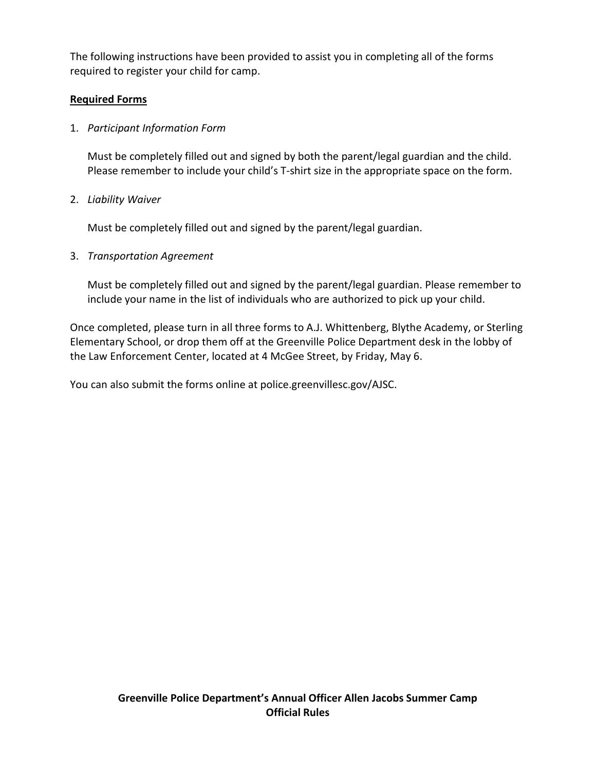The following instructions have been provided to assist you in completing all of the forms required to register your child for camp.

# **Required Forms**

1. *Participant Information Form*

Must be completely filled out and signed by both the parent/legal guardian and the child. Please remember to include your child's T-shirt size in the appropriate space on the form.

2. *Liability Waiver* 

Must be completely filled out and signed by the parent/legal guardian.

3. *Transportation Agreement*

Must be completely filled out and signed by the parent/legal guardian. Please remember to include your name in the list of individuals who are authorized to pick up your child.

Once completed, please turn in all three forms to A.J. Whittenberg, Blythe Academy, or Sterling Elementary School, or drop them off at the Greenville Police Department desk in the lobby of the Law Enforcement Center, located at 4 McGee Street, by Friday, May 6.

You can also submit the forms online at police.greenvillesc.gov/AJSC.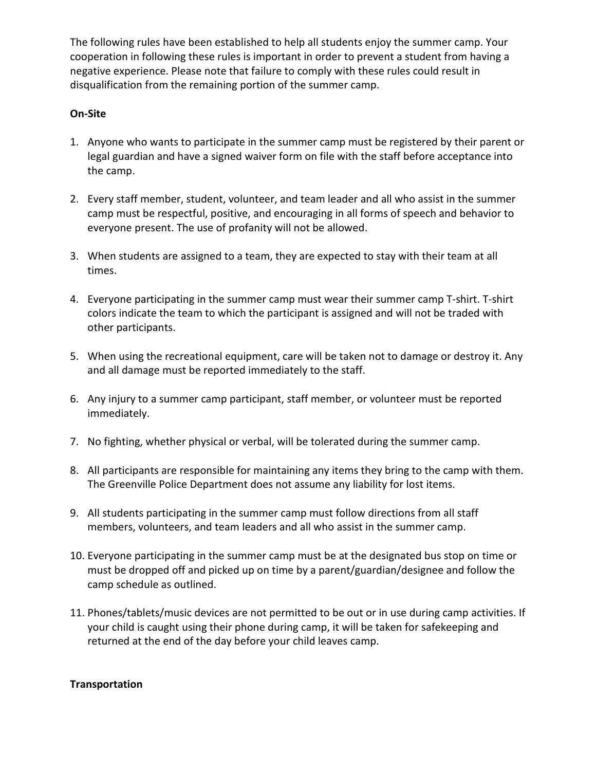The following rules have been established to help all students enjoy the summer camp. Your cooperation in following these rules is important in order to prevent a student from having a negative experience. Please note that failure to comply with these rules could result in disqualification from the remaining portion of the summer camp.

# **On-Site**

- 1. Anyone who wants to participate in the summer camp must be registered by their parent or legal guardian and have a signed waiver form on file with the staff before acceptance into the camp.
- 2. Every staff member, student, volunteer, and team leader and all who assist in the summer camp must be respectful, positive, and encouraging in all forms of speech and behavior to everyone present. The use of profanity will not be allowed.
- 3. When students are assigned to a team, they are expected to stay with their team at all times.
- 4. Everyone participating in the summer camp must wear their summer camp T-shirt. T-shirt colors indicate the team to which the participant is assigned and will not be traded with other participants.
- 5. When using the recreational equipment, care will be taken not to damage or destroy it. Any and all damage must be reported immediately to the staff.
- 6. Any injury to a summer camp participant, staff member, or volunteer must be reported immediately.
- 7. No fighting, whether physical or verbal, will be tolerated during the summer camp.
- 8. All participants are responsible for maintaining any items they bring to the camp with them. The Greenville Police Department does not assume any liability for lost items.
- 9. All students participating in the summer camp must follow directions from all staff members, volunteers, and team leaders and all who assist in the summer camp.
- 10. Everyone participating in the summer camp must be at the designated bus stop on time or must be dropped off and picked up on time by a parent/guardian/designee and follow the camp schedule as outlined.
- 11. Phones/tablets/music devices are not permitted to be out or in use during camp activities. If your child is caught using their phone during camp, it will be taken for safekeeping and returned at the end of the day before your child leaves camp.

### **Transportation**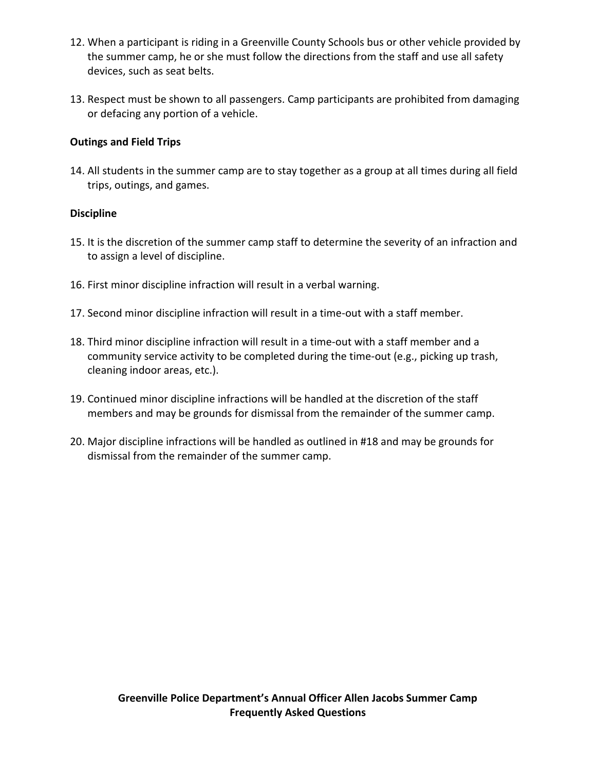- 12. When a participant is riding in a Greenville County Schools bus or other vehicle provided by the summer camp, he or she must follow the directions from the staff and use all safety devices, such as seat belts.
- 13. Respect must be shown to all passengers. Camp participants are prohibited from damaging or defacing any portion of a vehicle.

# **Outings and Field Trips**

14. All students in the summer camp are to stay together as a group at all times during all field trips, outings, and games.

### **Discipline**

- 15. It is the discretion of the summer camp staff to determine the severity of an infraction and to assign a level of discipline.
- 16. First minor discipline infraction will result in a verbal warning.
- 17. Second minor discipline infraction will result in a time-out with a staff member.
- 18. Third minor discipline infraction will result in a time-out with a staff member and a community service activity to be completed during the time-out (e.g., picking up trash, cleaning indoor areas, etc.).
- 19. Continued minor discipline infractions will be handled at the discretion of the staff members and may be grounds for dismissal from the remainder of the summer camp.
- 20. Major discipline infractions will be handled as outlined in #18 and may be grounds for dismissal from the remainder of the summer camp.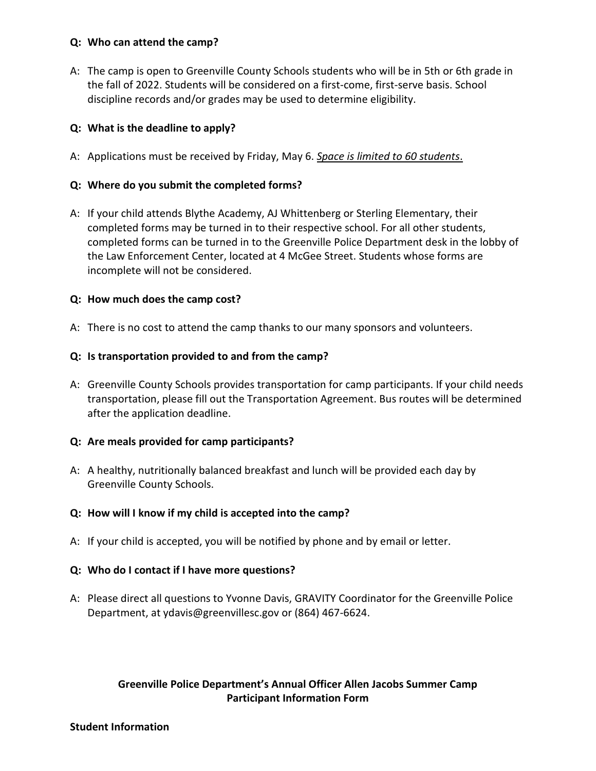### **Q: Who can attend the camp?**

A: The camp is open to Greenville County Schools students who will be in 5th or 6th grade in the fall of 2022. Students will be considered on a first-come, first-serve basis. School discipline records and/or grades may be used to determine eligibility.

## **Q: What is the deadline to apply?**

A: Applications must be received by Friday, May 6. *Space is limited to 60 students*.

## **Q: Where do you submit the completed forms?**

A: If your child attends Blythe Academy, AJ Whittenberg or Sterling Elementary, their completed forms may be turned in to their respective school. For all other students, completed forms can be turned in to the Greenville Police Department desk in the lobby of the Law Enforcement Center, located at 4 McGee Street. Students whose forms are incomplete will not be considered.

## **Q: How much does the camp cost?**

A: There is no cost to attend the camp thanks to our many sponsors and volunteers.

## **Q: Is transportation provided to and from the camp?**

A: Greenville County Schools provides transportation for camp participants. If your child needs transportation, please fill out the Transportation Agreement. Bus routes will be determined after the application deadline.

### **Q: Are meals provided for camp participants?**

A: A healthy, nutritionally balanced breakfast and lunch will be provided each day by Greenville County Schools.

# **Q: How will I know if my child is accepted into the camp?**

A: If your child is accepted, you will be notified by phone and by email or letter.

### **Q: Who do I contact if I have more questions?**

A: Please direct all questions to Yvonne Davis, GRAVITY Coordinator for the Greenville Police Department, at ydavis@greenvillesc.gov or (864) 467-6624.

# **Greenville Police Department's Annual Officer Allen Jacobs Summer Camp Participant Information Form**

#### **Student Information**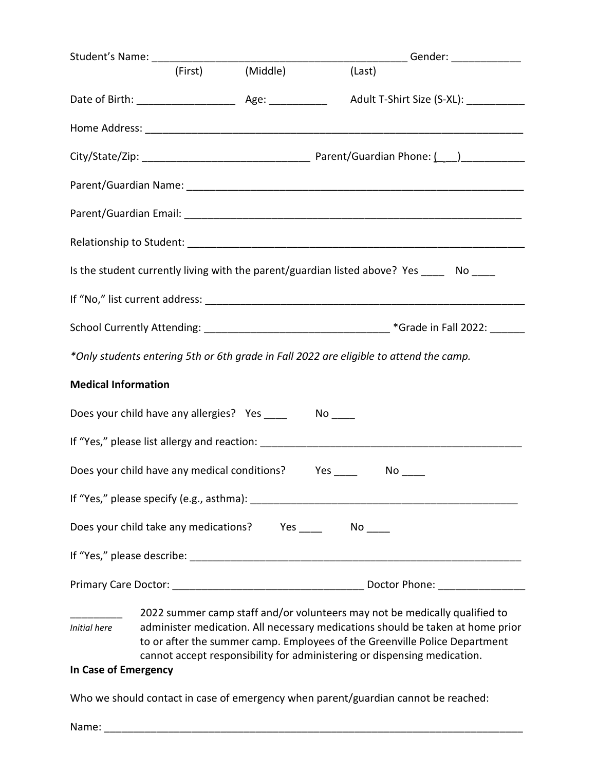|                            | Student's Name: __________________    |                                              |                                                                                                                                                                                                                                          | ____________Gender: ________________ |
|----------------------------|---------------------------------------|----------------------------------------------|------------------------------------------------------------------------------------------------------------------------------------------------------------------------------------------------------------------------------------------|--------------------------------------|
|                            |                                       | (First) (Middle)                             | (Last)                                                                                                                                                                                                                                   |                                      |
|                            |                                       |                                              |                                                                                                                                                                                                                                          |                                      |
|                            |                                       |                                              |                                                                                                                                                                                                                                          |                                      |
|                            |                                       |                                              |                                                                                                                                                                                                                                          |                                      |
|                            |                                       |                                              | Parent/Guardian Name: with a state of the control of the control of the control of the control of the control of the control of the control of the control of the control of the control of the control of the control of the            |                                      |
|                            |                                       |                                              |                                                                                                                                                                                                                                          |                                      |
|                            |                                       |                                              |                                                                                                                                                                                                                                          |                                      |
|                            |                                       |                                              | Is the student currently living with the parent/guardian listed above? Yes _____ No ____                                                                                                                                                 |                                      |
|                            |                                       |                                              |                                                                                                                                                                                                                                          |                                      |
|                            |                                       |                                              |                                                                                                                                                                                                                                          |                                      |
|                            |                                       |                                              | *Only students entering 5th or 6th grade in Fall 2022 are eligible to attend the camp.                                                                                                                                                   |                                      |
| <b>Medical Information</b> |                                       |                                              |                                                                                                                                                                                                                                          |                                      |
|                            |                                       |                                              |                                                                                                                                                                                                                                          |                                      |
|                            |                                       |                                              |                                                                                                                                                                                                                                          |                                      |
|                            |                                       | Does your child have any medical conditions? | $Yes \_ No \_$                                                                                                                                                                                                                           |                                      |
|                            |                                       |                                              |                                                                                                                                                                                                                                          |                                      |
|                            | Does your child take any medications? |                                              |                                                                                                                                                                                                                                          |                                      |
|                            |                                       |                                              |                                                                                                                                                                                                                                          |                                      |
|                            |                                       |                                              |                                                                                                                                                                                                                                          |                                      |
|                            |                                       |                                              | 2022 summer camp staff and/or volunteers may not be medically qualified to                                                                                                                                                               |                                      |
| <b>Initial here</b>        |                                       |                                              | administer medication. All necessary medications should be taken at home prior<br>to or after the summer camp. Employees of the Greenville Police Department<br>cannot accept responsibility for administering or dispensing medication. |                                      |

# **In Case of Emergency**

Who we should contact in case of emergency when parent/guardian cannot be reached:

Name: \_\_\_\_\_\_\_\_\_\_\_\_\_\_\_\_\_\_\_\_\_\_\_\_\_\_\_\_\_\_\_\_\_\_\_\_\_\_\_\_\_\_\_\_\_\_\_\_\_\_\_\_\_\_\_\_\_\_\_\_\_\_\_\_\_\_\_\_\_\_\_\_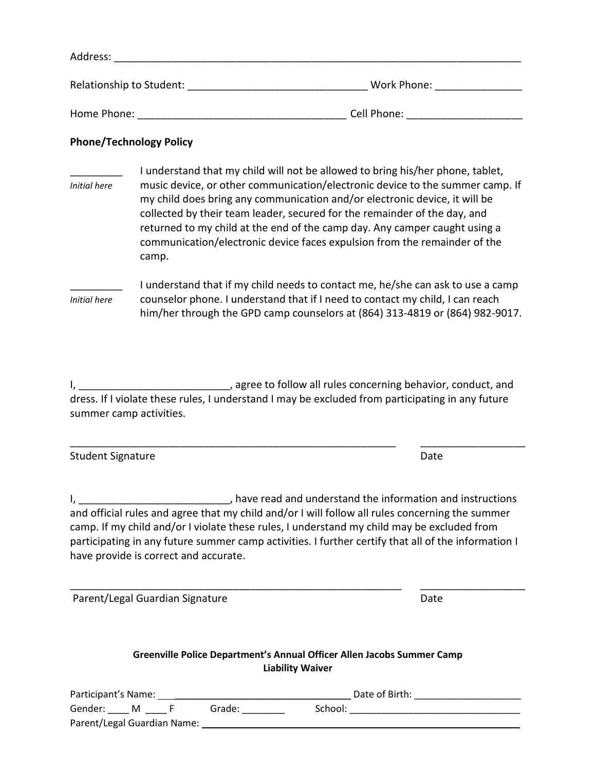| Address:                 |             |
|--------------------------|-------------|
| Relationship to Student: | Work Phone: |
| Home Phone:              | Cell Phone: |

#### **Phone/Technology Policy**

| Initial here | I understand that my child will not be allowed to bring his/her phone, tablet,<br>music device, or other communication/electronic device to the summer camp. If<br>my child does bring any communication and/or electronic device, it will be<br>collected by their team leader, secured for the remainder of the day, and<br>returned to my child at the end of the camp day. Any camper caught using a<br>communication/electronic device faces expulsion from the remainder of the |  |  |  |
|--------------|---------------------------------------------------------------------------------------------------------------------------------------------------------------------------------------------------------------------------------------------------------------------------------------------------------------------------------------------------------------------------------------------------------------------------------------------------------------------------------------|--|--|--|
| Initial here | camp.<br>I understand that if my child needs to contact me, he/she can ask to use a camp<br>counselor phone. I understand that if I need to contact my child, I can reach<br>him/her through the GPD camp counselors at (864) 313-4819 or (864) 982-9017.                                                                                                                                                                                                                             |  |  |  |

I, \_\_\_\_\_\_\_\_\_\_\_\_\_\_\_\_\_\_\_\_\_\_\_\_\_\_, agree to follow all rules concerning behavior, conduct, and dress. If I violate these rules, I understand I may be excluded from participating in any future summer camp activities.

\_\_\_\_\_\_\_\_\_\_\_\_\_\_\_\_\_\_\_\_\_\_\_\_\_\_\_\_\_\_\_\_\_\_\_\_\_\_\_\_\_\_\_\_\_\_\_\_\_\_\_\_\_\_\_\_ \_\_\_\_\_\_\_\_\_\_\_\_\_\_\_\_\_\_

Student Signature Date Date Communications and Date Date

I, \_\_\_\_\_\_\_\_\_\_\_\_\_\_\_\_\_\_\_\_\_\_\_\_\_\_\_, have read and understand the information and instructions and official rules and agree that my child and/or I will follow all rules concerning the summer camp. If my child and/or I violate these rules, I understand my child may be excluded from participating in any future summer camp activities. I further certify that all of the information I have provide is correct and accurate.

| Parent/Legal Guardian Signature | Date |
|---------------------------------|------|
|---------------------------------|------|

**Greenville Police Department's Annual Officer Allen Jacobs Summer Camp Liability Waiver**

\_\_\_\_\_\_\_\_\_\_\_\_\_\_\_\_\_\_\_\_\_\_\_\_\_\_\_\_\_\_\_\_\_\_\_\_\_\_\_\_\_\_\_\_\_\_\_\_\_\_\_\_\_\_\_\_\_ \_\_\_\_\_\_\_\_\_\_\_\_\_\_\_\_\_\_

| Participant's Name:         |  |  |        | Date of Birth: |  |
|-----------------------------|--|--|--------|----------------|--|
| Gender:                     |  |  | Grade: | School:        |  |
| Parent/Legal Guardian Name: |  |  |        |                |  |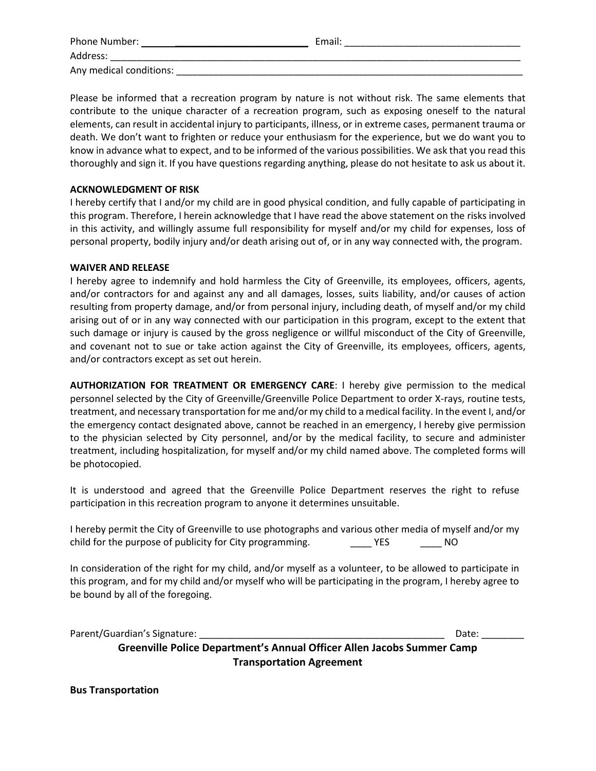| Phone Number:           | Email: |  |
|-------------------------|--------|--|
| Address:                |        |  |
| Any medical conditions: |        |  |

Please be informed that a recreation program by nature is not without risk. The same elements that contribute to the unique character of a recreation program, such as exposing oneself to the natural elements, can result in accidental injury to participants, illness, or in extreme cases, permanent trauma or death. We don't want to frighten or reduce your enthusiasm for the experience, but we do want you to know in advance what to expect, and to be informed of the various possibilities. We ask that you read this thoroughly and sign it. If you have questions regarding anything, please do not hesitate to ask us about it.

#### **ACKNOWLEDGMENT OF RISK**

I hereby certify that I and/or my child are in good physical condition, and fully capable of participating in this program. Therefore, I herein acknowledge that I have read the above statement on the risks involved in this activity, and willingly assume full responsibility for myself and/or my child for expenses, loss of personal property, bodily injury and/or death arising out of, or in any way connected with, the program.

#### **WAIVER AND RELEASE**

I hereby agree to indemnify and hold harmless the City of Greenville, its employees, officers, agents, and/or contractors for and against any and all damages, losses, suits liability, and/or causes of action resulting from property damage, and/or from personal injury, including death, of myself and/or my child arising out of or in any way connected with our participation in this program, except to the extent that such damage or injury is caused by the gross negligence or willful misconduct of the City of Greenville, and covenant not to sue or take action against the City of Greenville, its employees, officers, agents, and/or contractors except as set out herein.

**AUTHORIZATION FOR TREATMENT OR EMERGENCY CARE**: I hereby give permission to the medical personnel selected by the City of Greenville/Greenville Police Department to order X-rays, routine tests, treatment, and necessary transportation for me and/or my child to a medical facility. In the event I, and/or the emergency contact designated above, cannot be reached in an emergency, I hereby give permission to the physician selected by City personnel, and/or by the medical facility, to secure and administer treatment, including hospitalization, for myself and/or my child named above. The completed forms will be photocopied.

It is understood and agreed that the Greenville Police Department reserves the right to refuse participation in this recreation program to anyone it determines unsuitable.

I hereby permit the City of Greenville to use photographs and various other media of myself and/or my child for the purpose of publicity for City programming. \_\_\_\_\_\_\_ YES \_\_\_\_\_\_\_\_ NO

In consideration of the right for my child, and/or myself as a volunteer, to be allowed to participate in this program, and for my child and/or myself who will be participating in the program, I hereby agree to be bound by all of the foregoing.

Parent/Guardian's Signature: \_\_\_\_\_\_\_\_\_\_\_\_\_\_\_\_\_\_\_\_\_\_\_\_\_\_\_\_\_\_\_\_\_\_\_\_\_\_\_\_\_\_\_\_\_\_ Date: \_\_\_\_\_\_\_\_

**Greenville Police Department's Annual Officer Allen Jacobs Summer Camp Transportation Agreement**

**Bus Transportation**